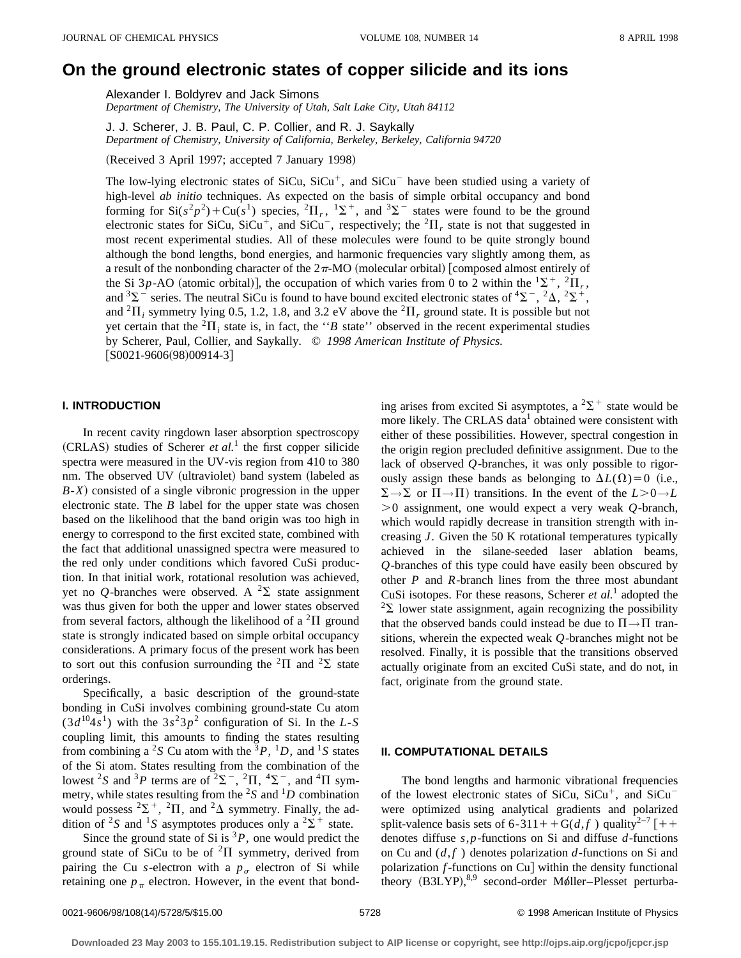# **On the ground electronic states of copper silicide and its ions**

Alexander I. Boldyrev and Jack Simons

*Department of Chemistry, The University of Utah, Salt Lake City, Utah 84112*

J. J. Scherer, J. B. Paul, C. P. Collier, and R. J. Saykally *Department of Chemistry, University of California, Berkeley, Berkeley, California 94720*

(Received 3 April 1997; accepted 7 January 1998)

The low-lying electronic states of SiCu,  $SiCu<sup>+</sup>$ , and  $SiCu<sup>-</sup>$  have been studied using a variety of high-level *ab initio* techniques. As expected on the basis of simple orbital occupancy and bond forming for  $Si(s^2p^2)+Cu(s^1)$  species,  ${}^2\Pi_r$ ,  ${}^1\Sigma^+$ , and  ${}^3\Sigma^-$  states were found to be the ground electronic states for SiCu, SiCu<sup>+</sup>, and SiCu<sup>-</sup>, respectively; the <sup>2</sup> $\Pi_r$  state is not that suggested in most recent experimental studies. All of these molecules were found to be quite strongly bound although the bond lengths, bond energies, and harmonic frequencies vary slightly among them, as a result of the nonbonding character of the  $2\pi$ -MO (molecular orbital) [composed almost entirely of the Si 3p-AO (atomic orbital)], the occupation of which varies from 0 to 2 within the  ${}^{1}\Sigma^{+}$ ,  ${}^{2}\Pi_{r}$ , and  ${}^{3}\Sigma^{-}$  series. The neutral SiCu is found to have bound excited electronic states of  ${}^{4}\Sigma^{-}$ ,  ${}^{2}\Delta$ ,  ${}^{2}\Sigma^{+}$ , and  ${}^{2}$ *H<sub>i</sub>* symmetry lying 0.5, 1.2, 1.8, and 3.2 eV above the  ${}^{2}$ *H<sub>r</sub>* ground state. It is possible but not yet certain that the  ${}^{2}$ *II<sub>i</sub>* state is, in fact, the "*B* state" observed in the recent experimental studies by Scherer, Paul, Collier, and Saykally. © *1998 American Institute of Physics.*  $[$ S0021-9606(98)00914-3]

# **I. INTRODUCTION**

In recent cavity ringdown laser absorption spectroscopy  $(CRLAS)$  studies of Scherer *et al.*<sup>1</sup> the first copper silicide spectra were measured in the UV-vis region from 410 to 380 nm. The observed UV (ultraviolet) band system (labeled as *B*-*X*! consisted of a single vibronic progression in the upper electronic state. The *B* label for the upper state was chosen based on the likelihood that the band origin was too high in energy to correspond to the first excited state, combined with the fact that additional unassigned spectra were measured to the red only under conditions which favored CuSi production. In that initial work, rotational resolution was achieved, yet no *Q*-branches were observed. A  ${}^{2}\Sigma$  state assignment was thus given for both the upper and lower states observed from several factors, although the likelihood of a  ${}^{2}$ II ground state is strongly indicated based on simple orbital occupancy considerations. A primary focus of the present work has been to sort out this confusion surrounding the <sup>2</sup> $\Pi$  and <sup>2</sup> $\Sigma$  state orderings.

Specifically, a basic description of the ground-state bonding in CuSi involves combining ground-state Cu atom  $(3d^{10}4s^1)$  with the  $3s^23p^2$  configuration of Si. In the *L*-*S* coupling limit, this amounts to finding the states resulting from combining a <sup>2</sup>*S* Cu atom with the <sup>3</sup>*P*, <sup>1</sup>*D*, and <sup>1</sup>*S* states of the Si atom. States resulting from the combination of the lowest <sup>2</sup>S and <sup>3</sup>P terms are of <sup>2</sup> $\Sigma^-$ , <sup>2</sup> $\Pi$ , <sup>4</sup> $\Sigma^-$ , and <sup>4</sup> $\Pi$  symmetry, while states resulting from the  ${}^{2}S$  and  ${}^{1}D$  combination would possess  ${}^{2}\Sigma^{+}$ ,  ${}^{2}\Pi$ , and  ${}^{2}\Delta$  symmetry. Finally, the addition of <sup>2</sup>*S* and <sup>1</sup>*S* asymptotes produces only a <sup>2</sup> $\Sigma$ <sup>+</sup> state.

Since the ground state of Si is  ${}^{3}P$ , one would predict the ground state of SiCu to be of  ${}^{2}\Pi$  symmetry, derived from pairing the Cu *s*-electron with a  $p<sub>g</sub>$  electron of Si while retaining one  $p_{\pi}$  electron. However, in the event that bonding arises from excited Si asymptotes, a  ${}^{2}\Sigma^{+}$  state would be more likely. The CRLAS data<sup>1</sup> obtained were consistent with either of these possibilities. However, spectral congestion in the origin region precluded definitive assignment. Due to the lack of observed *Q*-branches, it was only possible to rigorously assign these bands as belonging to  $\Delta L(\Omega) = 0$  (i.e.,  $\Sigma \rightarrow \Sigma$  or  $\Pi \rightarrow \Pi$ ) transitions. In the event of the  $L > 0 \rightarrow L$  $>0$  assignment, one would expect a very weak *Q*-branch, which would rapidly decrease in transition strength with increasing *J*. Given the 50 K rotational temperatures typically achieved in the silane-seeded laser ablation beams, *Q*-branches of this type could have easily been obscured by other *P* and *R*-branch lines from the three most abundant CuSi isotopes. For these reasons, Scherer *et al.*<sup>1</sup> adopted the  $2\Sigma$  lower state assignment, again recognizing the possibility that the observed bands could instead be due to  $\Pi \rightarrow \Pi$  transitions, wherein the expected weak *Q*-branches might not be resolved. Finally, it is possible that the transitions observed actually originate from an excited CuSi state, and do not, in fact, originate from the ground state.

## **II. COMPUTATIONAL DETAILS**

The bond lengths and harmonic vibrational frequencies of the lowest electronic states of  $SiCu$ ,  $SiCu<sup>+</sup>$ , and  $SiCu$ were optimized using analytical gradients and polarized split-valence basis sets of 6-311++G( $d$ ,  $f$ ) quality<sup>2-7</sup> [++ denotes diffuse *s*,*p*-functions on Si and diffuse *d*-functions on Cu and  $(d, f)$  denotes polarization  $d$ -functions on Si and polarization  $f$ -functions on Cu $\vert$  within the density functional theory (B3LYP),<sup>8,9</sup> second-order Møller-Plesset perturba-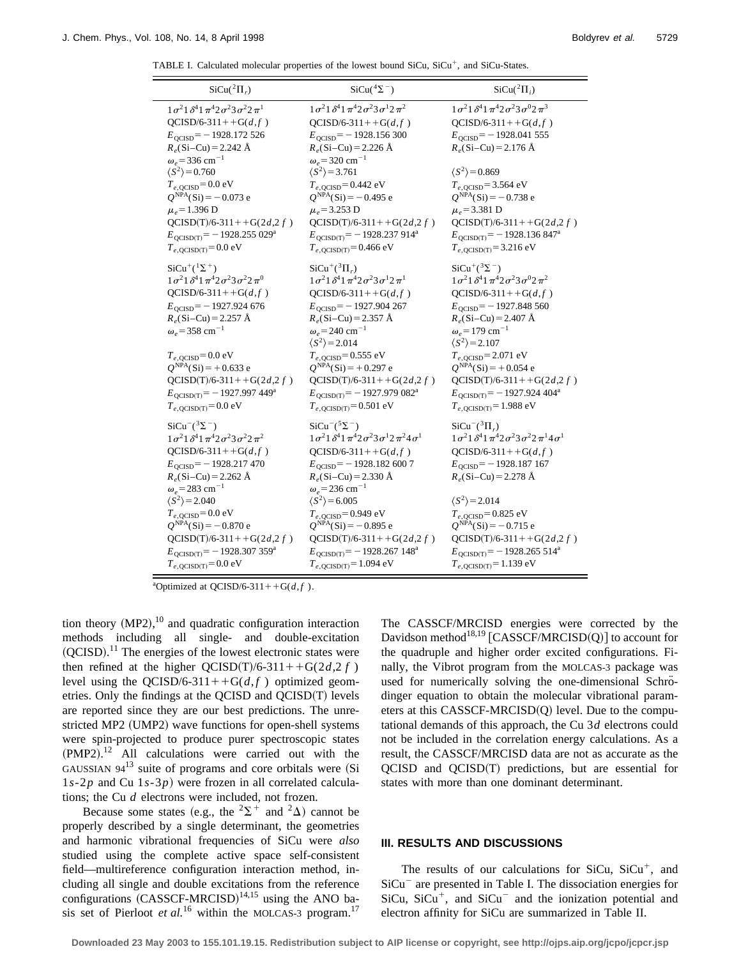TABLE I. Calculated molecular properties of the lowest bound  $SiCu$ ,  $SiCu<sup>+</sup>$ , and  $SiCu-States$ .

| $SiCu(^{2}\Pi_{r})$                                                                                                                                                                                                                                                                                                                                                                                                                              | $SiCu(^{4}\Sigma^{-})$                                                                                                                                                                                                                                                                                                                                                                                                                                                            | $SiCu(^{2}\Pi_{i})$                                                                                                                                                                                                                                                                                                                                                                                                                              |  |
|--------------------------------------------------------------------------------------------------------------------------------------------------------------------------------------------------------------------------------------------------------------------------------------------------------------------------------------------------------------------------------------------------------------------------------------------------|-----------------------------------------------------------------------------------------------------------------------------------------------------------------------------------------------------------------------------------------------------------------------------------------------------------------------------------------------------------------------------------------------------------------------------------------------------------------------------------|--------------------------------------------------------------------------------------------------------------------------------------------------------------------------------------------------------------------------------------------------------------------------------------------------------------------------------------------------------------------------------------------------------------------------------------------------|--|
| $1\sigma^2$ $1\delta^4$ $1\pi^4$ $2\sigma^2$ $3\sigma^2$ $2\pi^1$<br>$QCISD/6-311++G(d,f)$<br>$E_{\text{OCISD}}$ = -1928.172 526<br>$R_e$ (Si-Cu) = 2.242 Å<br>$\omega_e$ = 336 cm <sup>-1</sup><br>$\langle S^2 \rangle$ = 0.760<br>$T_{e,QCISD}$ =0.0 eV<br>$Q^{NPA}(Si) = -0.073$ e<br>$\mu_e$ = 1.396 D<br>$QCISD(T)/6-311++G(2d,2f)$<br>$E_{\text{QCISD(T)}} = -1928.255029^{\text{a}}$<br>$T_{e, \text{OCISD(T)}} = 0.0 \text{ eV}$        | $1\sigma^2$ $1\delta^4$ $1\pi^4$ $2\sigma^2$ $3\sigma^1$ $2\pi^2$<br>$QCISD/6-311++G(d,f)$<br>$E_{\text{OCISD}}$ = -1928.156 300<br>$R_e$ (Si-Cu) = 2.226 Å<br>$\omega_e$ = 320 cm <sup>-1</sup><br>$\langle S^2 \rangle$ = 3.761<br>$T_{e, QCISD} = 0.442$ eV<br>$Q^{NPA}(Si) = -0.495$ e<br>$\mu_e$ = 3.253 D<br>$QCISD(T)/6-311++G(2d,2f)$<br>$E_{\text{QCISD(T)}} = -1928.237914^a$<br>$T_{e, \text{OCISD(T)}} = 0.466 \text{ eV}$                                            | $1\sigma^2$ $1\delta^4$ $1\pi^4$ $2\sigma^2$ $3\sigma^0$ $2\pi^3$<br>$QCISD/6-311++G(d,f)$<br>$E_{\text{OCISD}}$ = -1928.041 555<br>$R_e$ (Si-Cu) = 2.176 Å<br>$\langle S^2 \rangle$ = 0.869<br>$T_{e, \text{QCISD}} = 3.564 \text{ eV}$<br>$Q^{NPA}(Si) = -0.738$ e<br>$\mu_e$ = 3.381 D<br>$QCISD(T)/6-311++G(2d,2f)$<br>$E_{\text{QCISD(T)}} = -1928.136847^{\text{a}}$<br>$T_{e, \text{OCISD(T)}} = 3.216 \text{ eV}$                        |  |
| $SiCu^+(^{1}\Sigma^{+})$<br>$1\sigma^2$ $1\delta^4$ $1\pi^4$ $2\sigma^2$ $3\sigma^2$ $2\pi^0$<br>$QCISD/6-311++G(d,f)$<br>$E_{\text{OCISD}}$ = -1927.924 676<br>$R_e$ (Si-Cu) = 2.257 Å<br>$\omega_e$ = 358 cm <sup>-1</sup><br>$T_{e, \text{OCISD}} = 0.0 \text{ eV}$<br>$Q^{NPA}(Si) = +0.633$ e<br>$QCISD(T)/6-311++G(2d,2f)$<br>$E_{QCISD(T)} = -1927.997449^a$<br>$T_{e, \text{QCISD(T)}} = 0.0 \text{ eV}$                                 | $SiCu^+(^{3}\Pi_r)$<br>$1\sigma^2$ $1\delta^4$ $1\pi^4$ $2\sigma^2$ $3\sigma^1$ $2\pi^1$<br>$QCISD/6-311++G(d,f)$<br>$E_{\text{OCISD}}$ = -1927.904 267<br>$R_e$ (Si-Cu) = 2.357 Å<br>$\omega_e$ = 240 cm <sup>-1</sup><br>$\langle S^2 \rangle$ = 2.014<br>$T_{e, \text{OCISD}} = 0.555 \text{ eV}$<br>$Q^{NPA}(Si) = +0.297$ e<br>$QCISD(T)/6-311++G(2d,2f)$<br>$E_{\text{QCISD(T)}} = -1927.979082^{\text{a}}$<br>$T_{e, \text{OCISD(T)}} = 0.501 \text{ eV}$                  | $SiCu^{+}({}^{3}\Sigma^{-})$<br>$1\sigma^2$ $1\delta^4$ $1\pi^4$ $2\sigma^2$ $3\sigma^0$ $2\pi^2$<br>$QCISD/6-311++G(d,f)$<br>$E_{\text{OCISD}}$ = -1927.848 560<br>$R_e$ (Si-Cu) = 2.407 Å<br>$\omega_e$ = 179 cm <sup>-1</sup><br>$\langle S^2 \rangle$ = 2.107<br>$T_{e,QCISD} = 2.071$ eV<br>$Q^{NPA}(Si) = +0.054$ e<br>$QCISD(T)/6-311++G(2d,2f)$<br>$E_{\text{QCISD(T)}} = -1927.924404^a$<br>$T_{e, \text{OCISD(T)}} = 1.988 \text{ eV}$ |  |
| $SiCu^{-}(3\Sigma^{-})$<br>$1\sigma^2 1 \delta^4 1\pi^4 2\sigma^2 3\sigma^2 2\pi^2$<br>QCISD/6-311++G( $d, f$ )<br>$E_{\text{OCISD}}$ = -1928.217470<br>$R_e$ (Si-Cu) = 2.262 Å<br>$\omega_e$ = 283 cm <sup>-1</sup><br>$\langle S^2 \rangle$ = 2.040<br>$T_{e, \text{OCISD}} = 0.0 \text{ eV}$<br>$Q^{NPA}(Si) = -0.870 e$<br>$QCISD(T)/6-311++G(2d,2f)$<br>$E_{\text{QCISD(T)}} = -1928.307359^a$<br>$T_{e, \text{QCISD(T)}} = 0.0 \text{ eV}$ | $SiCu^{-5\Sigma^-}$<br>$1\sigma^2$ $1\delta^4$ $1\pi^4$ $2\sigma^2$ $3\sigma^1$ $2\pi^2$ $4\sigma^1$<br>QCISD/6-311++G( $d, f$ )<br>$E_{\text{OCISD}}$ = -1928.182 600 7<br>$R_e$ (Si-Cu) = 2.330 Å<br>$\omega_e$ = 236 cm <sup>-1</sup><br>$\langle S^2 \rangle$ = 6.005<br>$T_{e, \text{OCISD}} = 0.949 \text{ eV}$<br>$Q^{NPA}(Si) = -0.895$ e<br>$QCISD(T)/6-311++G(2d,2f)$<br>$E_{\text{OCISD(T)}} = -1928.267148^{\text{a}}$<br>$T_{e, \text{QCISD(T)}} = 1.094 \text{ eV}$ | $SiCu^{-}(^{3}\Pi)$<br>$1\sigma^2$ $1\delta^4$ $1\pi^4$ $2\sigma^2$ $3\sigma^2$ $2\pi^1$ $4\sigma^1$<br>QCISD/6-311++G( $d, f$ )<br>$E_{\text{OCISD}}$ = -1928.187 167<br>$R_e$ (Si-Cu) = 2.278 Å<br>$\langle S^2 \rangle$ = 2.014<br>$T_{e, \text{OCISD}} = 0.825 \text{ eV}$<br>$Q^{NPA}(Si) = -0.715$ e<br>$QCISD(T)/6-311++G(2d,2f)$<br>$E_{\text{OCISD(T)}} = -1928.265514^{\text{a}}$<br>$T_{e, \text{QCISD(T)}} = 1.139 \text{ eV}$       |  |

<sup>a</sup>Optimized at QCISD/6-311++G( $d, f$ ).

tion theory  $(MP2),<sup>10</sup>$  and quadratic configuration interaction methods including all single- and double-excitation  $(QCISD).<sup>11</sup>$  The energies of the lowest electronic states were then refined at the higher  $OCISD(T)/6-311++G(2d,2f)$ level using the QCISD/6-311++ $G(d, f)$  optimized geometries. Only the findings at the OCISD and  $OCISD(T)$  levels are reported since they are our best predictions. The unrestricted MP2 (UMP2) wave functions for open-shell systems were spin-projected to produce purer spectroscopic states  $(PMP2).$ <sup>12</sup> All calculations were carried out with the GAUSSIAN  $94^{13}$  suite of programs and core orbitals were (Si 1*s*-2*p* and Cu 1*s*-3*p*! were frozen in all correlated calculations; the Cu *d* electrons were included, not frozen.

Because some states (e.g., the  $2\Sigma^+$  and  $2\Delta$ ) cannot be properly described by a single determinant, the geometries and harmonic vibrational frequencies of SiCu were *also* studied using the complete active space self-consistent field—multireference configuration interaction method, including all single and double excitations from the reference configurations  $(CASSCF-MRCISD)^{14,15}$  using the ANO basis set of Pierloot *et al.*<sup>16</sup> within the MOLCAS-3 program.<sup>17</sup> The CASSCF/MRCISD energies were corrected by the Davidson method<sup>18,19</sup> [CASSCF/MRCISD(Q)] to account for the quadruple and higher order excited configurations. Finally, the Vibrot program from the MOLCAS-3 package was used for numerically solving the one-dimensional Schrödinger equation to obtain the molecular vibrational parameters at this CASSCF-MRCISD $(Q)$  level. Due to the computational demands of this approach, the Cu 3*d* electrons could not be included in the correlation energy calculations. As a result, the CASSCF/MRCISD data are not as accurate as the  $QCISD$  and  $QCISD(T)$  predictions, but are essential for states with more than one dominant determinant.

## **III. RESULTS AND DISCUSSIONS**

The results of our calculations for SiCu,  $SiCu<sup>+</sup>$ , and  $SiCu<sup>-</sup>$  are presented in Table I. The dissociation energies for SiCu, SiCu<sup>+</sup>, and SiCu<sup>-</sup> and the ionization potential and electron affinity for SiCu are summarized in Table II.

**Downloaded 23 May 2003 to 155.101.19.15. Redistribution subject to AIP license or copyright, see http://ojps.aip.org/jcpo/jcpcr.jsp**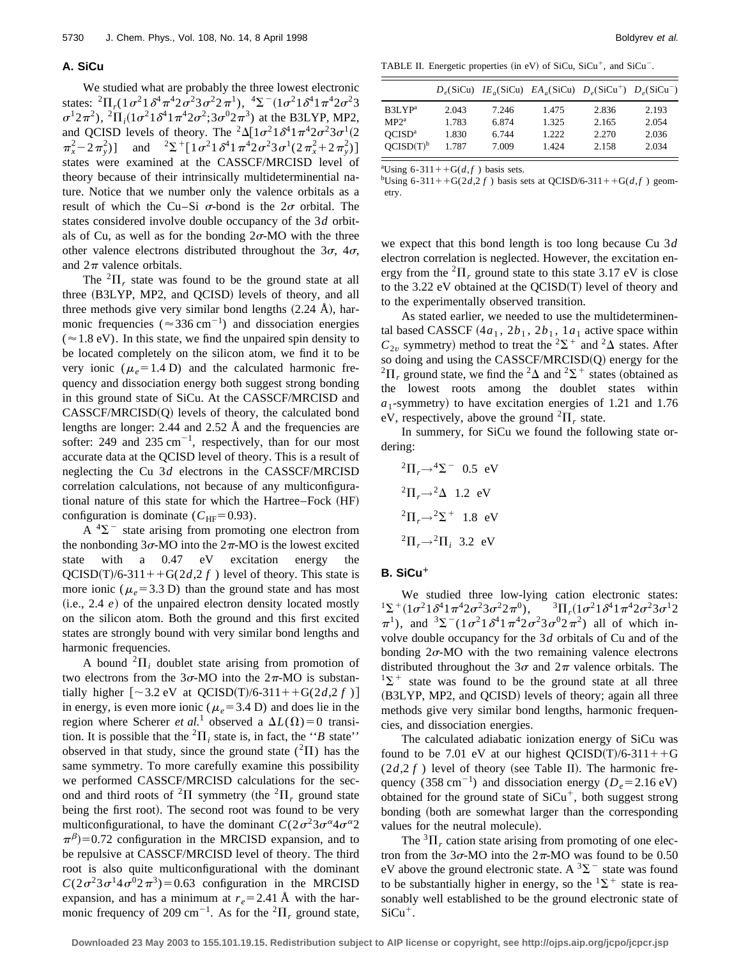#### **A. SiCu**

We studied what are probably the three lowest electronic states:  ${}^{2}\Pi_{r}$ (1 $\sigma^{2}$ 1 $\delta^{4}\pi^{4}$ 2 $\sigma^{2}$ 3 $\sigma^{2}$ 2 $\pi^{1}$ ),  ${}^{4}\Sigma^{-}$ (1 $\sigma^{2}$ 1 $\delta^{4}$ 1 $\pi^{4}$ 2 $\sigma^{2}$ 3  $\sigma^1 2\pi^2$ ),  ${}^2\Pi_i (1\sigma^2 1\delta^4 1\pi^4 2\sigma^2; 3\sigma^0 2\pi^3)$  at the B3LYP, MP2, and QCISD levels of theory. The  ${}^{2}\Delta[1\sigma^{2}1\delta^{4}1\pi^{4}2\sigma^{2}3\sigma^{1}(2$  $\pi_x^2 - 2\pi_y^2$ ) and  ${}^{2}\Sigma^+ [1\sigma^2 1\delta^4 1\pi^4 2\sigma^2 3\sigma^1 (2\pi_x^2 + 2\pi_y^2)]$ states were examined at the CASSCF/MRCISD level of theory because of their intrinsically multideterminential nature. Notice that we number only the valence orbitals as a result of which the Cu–Si  $\sigma$ -bond is the  $2\sigma$  orbital. The states considered involve double occupancy of the 3*d* orbitals of Cu, as well as for the bonding  $2\sigma$ -MO with the three other valence electrons distributed throughout the  $3\sigma$ ,  $4\sigma$ , and  $2\pi$  valence orbitals.

The  ${}^{2}$  $\Pi_r$  state was found to be the ground state at all three (B3LYP, MP2, and QCISD) levels of theory, and all three methods give very similar bond lengths  $(2.24 \text{ Å})$ , harmonic frequencies ( $\approx 336$  cm<sup>-1</sup>) and dissociation energies  $(\approx 1.8 \text{ eV})$ . In this state, we find the unpaired spin density to be located completely on the silicon atom, we find it to be very ionic ( $\mu_e$ =1.4 D) and the calculated harmonic frequency and dissociation energy both suggest strong bonding in this ground state of SiCu. At the CASSCF/MRCISD and  $CASSCF/MRCISD(Q)$  levels of theory, the calculated bond lengths are longer: 2.44 and 2.52 Å and the frequencies are softer: 249 and 235  $cm^{-1}$ , respectively, than for our most accurate data at the QCISD level of theory. This is a result of neglecting the Cu 3*d* electrons in the CASSCF/MRCISD correlation calculations, not because of any multiconfigurational nature of this state for which the Hartree–Fock (HF) configuration is dominate ( $C_{\text{HF}}$ =0.93).

 $A<sup>4</sup>\Sigma$ <sup>-</sup> state arising from promoting one electron from the nonbonding  $3\sigma$ -MO into the  $2\pi$ -MO is the lowest excited state with a 0.47 eV excitation energy the  $QCISD(T)/6-311++G(2d,2f)$  level of theory. This state is more ionic ( $\mu_e$ =3.3 D) than the ground state and has most  $(i.e., 2.4 e)$  of the unpaired electron density located mostly on the silicon atom. Both the ground and this first excited states are strongly bound with very similar bond lengths and harmonic frequencies.

A bound  ${}^2\Pi_i$  doublet state arising from promotion of two electrons from the  $3\sigma$ -MO into the  $2\pi$ -MO is substantially higher  $[\sim 3.2 \text{ eV}$  at QCISD(T)/6-311++G(2*d*,2 *f*) ] in energy, is even more ionic ( $\mu_e$ =3.4 D) and does lie in the region where Scherer *et al.*<sup>1</sup> observed a  $\Delta L(\Omega) = 0$  transition. It is possible that the <sup>2</sup> $\Pi$ <sub>*i*</sub> state is, in fact, the "*B* state" observed in that study, since the ground state  $({}^{2}\Pi)$  has the same symmetry. To more carefully examine this possibility we performed CASSCF/MRCISD calculations for the second and third roots of <sup>2</sup> $\Pi$  symmetry (the <sup>2</sup> $\Pi$ , ground state being the first root). The second root was found to be very multiconfigurational, to have the dominant  $C(2\sigma^2 3\sigma^{\alpha} 4\sigma^{\alpha} 2)$  $\pi^{\beta}$ )=0.72 configuration in the MRCISD expansion, and to be repulsive at CASSCF/MRCISD level of theory. The third root is also quite multiconfigurational with the dominant  $C(2\sigma^2 3\sigma^1 4\sigma^0 2\pi^3) = 0.63$  configuration in the MRCISD expansion, and has a minimum at  $r_e = 2.41$  Å with the harmonic frequency of 209 cm<sup>-1</sup>. As for the  ${}^{2}\Pi_{r}$  ground state,

TABLE II. Energetic properties (in eV) of SiCu,  $SiCu<sup>+</sup>$ , and  $SiCu<sup>-</sup>$ .

|                       |       |       | $D_e(SiCu)$ $IE_a(SiCu)$ $EA_a(SiCu)$ $D_e(SiCu^+)$ $D_e(SiCu^-)$ |       |       |
|-----------------------|-------|-------|-------------------------------------------------------------------|-------|-------|
| B3LYP <sup>a</sup>    | 2.043 | 7.246 | 1.475                                                             | 2.836 | 2.193 |
| MP2 <sup>a</sup>      | 1.783 | 6.874 | 1.325                                                             | 2.165 | 2.054 |
| OCISD <sup>a</sup>    | 1.830 | 6.744 | 1.222                                                             | 2.270 | 2.036 |
| OCISD(T) <sup>b</sup> | 1.787 | 7.009 | 1.424                                                             | 2.158 | 2.034 |

<sup>a</sup>Using 6-311++G( $d, f$ ) basis sets.

 $^{b}$ Using 6-311++G(2*d*,2*f*) basis sets at QCISD/6-311++G(*d*,*f*) geometry.

we expect that this bond length is too long because Cu 3*d* electron correlation is neglected. However, the excitation energy from the  ${}^{2}\Pi_{r}$  ground state to this state 3.17 eV is close to the  $3.22$  eV obtained at the QCISD $(T)$  level of theory and to the experimentally observed transition.

As stated earlier, we needed to use the multideterminental based CASSCF  $(4a_1, 2b_1, 2b_1, 1a_1)$  active space within  $C_{2v}$  symmetry) method to treat the <sup>2</sup> $\Sigma$ <sup>+</sup> and <sup>2</sup> $\Delta$  states. After so doing and using the  $CASSCF/MRCISD(Q)$  energy for the  ${}^{2}\Pi_{r}$  ground state, we find the  ${}^{2}\Delta$  and  ${}^{2}\Sigma^{+}$  states (obtained as the lowest roots among the doublet states within  $a_1$ -symmetry) to have excitation energies of 1.21 and 1.76 eV, respectively, above the ground  ${}^{2}\Pi_{r}$  state.

In summery, for SiCu we found the following state ordering:

$$
^{2}\Pi_{r} \rightarrow ^{4}\Sigma^{-} 0.5 \text{ eV}
$$
  

$$
^{2}\Pi_{r} \rightarrow ^{2}\Delta 1.2 \text{ eV}
$$
  

$$
^{2}\Pi_{r} \rightarrow ^{2}\Sigma^{+} 1.8 \text{ eV}
$$
  

$$
^{2}\Pi_{r} \rightarrow ^{2}\Pi_{i} 3.2 \text{ eV}
$$

# **B.** SiCu<sup>+</sup>

We studied three low-lying cation electronic states:<br> $(1\sigma^2 1\delta^4 1\pi^4 2\sigma^2 3\sigma^2 2\pi^0), \quad {}^3\Pi_r(1\sigma^2 1\delta^4 1\pi^4 2\sigma^2 3\sigma^1 2\pi^1)$  $1\Sigma^+(1\sigma^21\delta^41\pi^42\sigma^23\sigma^22\pi^0)$ ,  $\pi^1$ ), and  ${}^3\Sigma^-(1\sigma^2\omega^1\sigma^4\omega^2\sigma^2\sigma^2\sigma^2\sigma^2)$  all of which involve double occupancy for the 3*d* orbitals of Cu and of the bonding  $2\sigma$ -MO with the two remaining valence electrons distributed throughout the  $3\sigma$  and  $2\pi$  valence orbitals. The  $1\Sigma^+$  state was found to be the ground state at all three  $(B3LYP, MP2, and QCISD)$  levels of theory; again all three methods give very similar bond lengths, harmonic frequencies, and dissociation energies.

The calculated adiabatic ionization energy of SiCu was found to be 7.01 eV at our highest  $OCISD(T)/6-311++G$  $(2d,2f)$  level of theory (see Table II). The harmonic frequency (358 cm<sup>-1</sup>) and dissociation energy ( $D_e$ =2.16 eV) obtained for the ground state of  $SiCu<sup>+</sup>$ , both suggest strong bonding (both are somewhat larger than the corresponding values for the neutral molecule).

The  ${}^{3}$  $\Pi$ <sub>r</sub> cation state arising from promoting of one electron from the  $3\sigma$ -MO into the  $2\pi$ -MO was found to be 0.50 eV above the ground electronic state. A  ${}^{3}\Sigma^{-}$  state was found to be substantially higher in energy, so the  ${}^{1}\Sigma^{+}$  state is reasonably well established to be the ground electronic state of  $SiCu^{+}$ .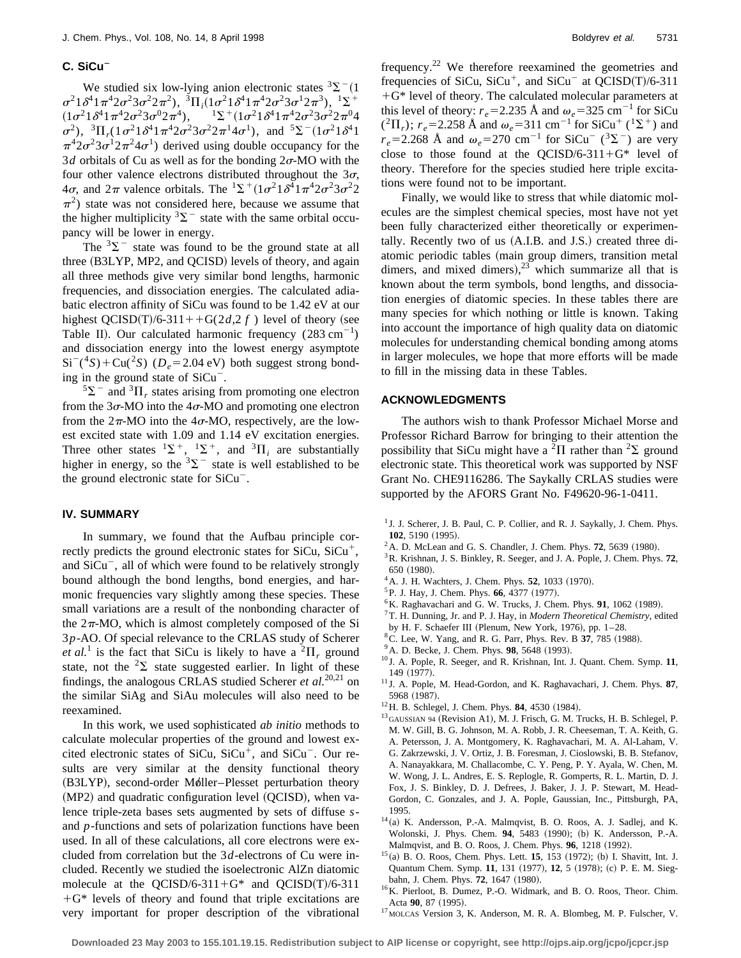# C. SiCu<sup>-</sup>

We studied six low-lying anion electronic states  ${}^{3}\Sigma^{-}(1)$  $\sigma^21\delta^41\pi^42\sigma^23\sigma^22\pi^2$ ,  ${}^3\Pi_i(1\sigma^21\delta^41\pi^42\sigma^23\sigma^12\pi^3),$   ${}^1\Sigma^+$ <br>  $(1\sigma^21\delta^41\pi^42\sigma^23\sigma^02\pi^4),$   ${}^1\Sigma^+(1\sigma^21\delta^41\pi^42\sigma^23\sigma^22\pi^04)$  $^{1}\Sigma^{+}(1\sigma^{2}1\delta^{4}1\pi^{4}2\sigma^{2}3\sigma^{2}2\pi^{0}4)$  $\sigma^2$ ),  ${}^3\Pi_r (1 \sigma^2 1 \delta^4 1 \pi^4 2 \sigma^2 3 \sigma^2 2 \pi^1 4 \sigma^1)$ , and  ${}^5\Sigma^-(1 \sigma^2 1 \delta^4 1$  $\pi^4 2\sigma^2 3\sigma^1 2\pi^2 4\sigma^1$ ) derived using double occupancy for the 3*d* orbitals of Cu as well as for the bonding  $2\sigma$ -MO with the four other valence electrons distributed throughout the  $3\sigma$ ,  $4\sigma$ , and  $2\pi$  valence orbitals. The  ${}^{1}\Sigma^{+}(1\sigma^{2}1\delta^{4}1\pi^{4}2\sigma^{2}3\sigma^{2}2)$  $\pi^2$ ) state was not considered here, because we assume that the higher multiplicity  ${}^{3}\Sigma^{-}$  state with the same orbital occupancy will be lower in energy.

The  $3\Sigma$ <sup>-</sup> state was found to be the ground state at all three (B3LYP, MP2, and QCISD) levels of theory, and again all three methods give very similar bond lengths, harmonic frequencies, and dissociation energies. The calculated adiabatic electron affinity of SiCu was found to be 1.42 eV at our highest QCISD(T)/6-311++G(2*d*,2*f*) level of theory (see Table II). Our calculated harmonic frequency  $(283 \text{ cm}^{-1})$ and dissociation energy into the lowest energy asymptote  $Si^{-(4}S) + Cu^{2}S$  ( $D_e = 2.04$  eV) both suggest strong bonding in the ground state of  $SiCu$ <sup>-</sup>.

 $5\Sigma$ <sup>-</sup> and  $3\Pi$ <sub>r</sub> states arising from promoting one electron from the  $3\sigma$ -MO into the  $4\sigma$ -MO and promoting one electron from the  $2\pi$ -MO into the  $4\sigma$ -MO, respectively, are the lowest excited state with 1.09 and 1.14 eV excitation energies. Three other states  ${}^{1}\Sigma^{+}$ ,  ${}^{1}\Sigma^{+}$ , and  ${}^{3}\Pi_{i}$  are substantially higher in energy, so the  ${}^{3}\Sigma^{-}$  state is well established to be the ground electronic state for  $SiCu$ <sup>-</sup>.

## **IV. SUMMARY**

In summary, we found that the Aufbau principle correctly predicts the ground electronic states for  $SiCu$ ,  $SiCu<sup>+</sup>$ , and  $SiCu^-$ , all of which were found to be relatively strongly bound although the bond lengths, bond energies, and harmonic frequencies vary slightly among these species. These small variations are a result of the nonbonding character of the  $2\pi$ -MO, which is almost completely composed of the Si 3*p*-AO. Of special relevance to the CRLAS study of Scherer *et al.*<sup>1</sup> is the fact that SiCu is likely to have a  ${}^{2}$  $\Pi_r$  ground state, not the  ${}^{2}\Sigma$  state suggested earlier. In light of these findings, the analogous CRLAS studied Scherer *et al.*20,21 on the similar SiAg and SiAu molecules will also need to be reexamined.

In this work, we used sophisticated *ab initio* methods to calculate molecular properties of the ground and lowest excited electronic states of SiCu,  $SiCu<sup>+</sup>$ , and  $SiCu<sup>-</sup>$ . Our results are very similar at the density functional theory (B3LYP), second-order Møller–Plesset perturbation theory  $(MP2)$  and quadratic configuration level  $(QCISD)$ , when valence triple-zeta bases sets augmented by sets of diffuse *s*and *p*-functions and sets of polarization functions have been used. In all of these calculations, all core electrons were excluded from correlation but the 3*d*-electrons of Cu were included. Recently we studied the isoelectronic AlZn diatomic molecule at the QCISD/6-311+ $G^*$  and QCISD(T)/6-311  $+G^*$  levels of theory and found that triple excitations are very important for proper description of the vibrational frequency.<sup>22</sup> We therefore reexamined the geometries and frequencies of SiCu,  $SiCu<sup>+</sup>$ , and  $SiCu<sup>-</sup>$  at QCISD(T)/6-311  $+G^*$  level of theory. The calculated molecular parameters at this level of theory:  $r_e$ =2.235 Å and  $\omega_e$ =325 cm<sup>-1</sup> for SiCu  $({}^{2}\Pi_{r})$ ;  $r_{e}$ =2.258 Å and  $\omega_{e}$ =311 cm<sup>-1</sup> for SiCu<sup>+</sup> (<sup>1</sup>\z<sup>+</sup>) and  $r_e = 2.268$  Å and  $\omega_e = 270$  cm<sup>-1</sup> for SiCu<sup>-</sup> (<sup>3</sup> $\Sigma$ <sup>-</sup>) are very close to those found at the QCISD/6-311+ $G^*$  level of theory. Therefore for the species studied here triple excitations were found not to be important.

Finally, we would like to stress that while diatomic molecules are the simplest chemical species, most have not yet been fully characterized either theoretically or experimentally. Recently two of us  $(A.I.B. \text{ and } J.S.)$  created three diatomic periodic tables (main group dimers, transition metal dimers, and mixed dimers),  $2^3$  which summarize all that is known about the term symbols, bond lengths, and dissociation energies of diatomic species. In these tables there are many species for which nothing or little is known. Taking into account the importance of high quality data on diatomic molecules for understanding chemical bonding among atoms in larger molecules, we hope that more efforts will be made to fill in the missing data in these Tables.

# **ACKNOWLEDGMENTS**

The authors wish to thank Professor Michael Morse and Professor Richard Barrow for bringing to their attention the possibility that SiCu might have a <sup>2</sup> $\Pi$  rather than <sup>2</sup> $\Sigma$  ground electronic state. This theoretical work was supported by NSF Grant No. CHE9116286. The Saykally CRLAS studies were supported by the AFORS Grant No. F49620-96-1-0411.

- <sup>1</sup> J. J. Scherer, J. B. Paul, C. P. Collier, and R. J. Saykally, J. Chem. Phys. **102**, 5190 (1995).
- $^{2}$ A. D. McLean and G. S. Chandler, J. Chem. Phys. **72**, 5639 (1980).
- 3R. Krishnan, J. S. Binkley, R. Seeger, and J. A. Pople, J. Chem. Phys. **72**, 650 (1980).
- $^{4}$ A. J. H. Wachters, J. Chem. Phys. **52**, 1033 (1970).
- <sup>5</sup>P. J. Hay, J. Chem. Phys. **66**, 4377 (1977).
- $6$ K. Raghavachari and G. W. Trucks, J. Chem. Phys.  $91$ , 1062 (1989).
- 7T. H. Dunning, Jr. and P. J. Hay, in *Modern Theoretical Chemistry*, edited
- by H. F. Schaefer III (Plenum, New York, 1976), pp.  $1-28$ .
- <sup>8</sup> C. Lee, W. Yang, and R. G. Parr, Phys. Rev. B 37, 785 (1988).
- <sup>9</sup> A. D. Becke, J. Chem. Phys. **98**, 5648 (1993).
- <sup>10</sup> J. A. Pople, R. Seeger, and R. Krishnan, Int. J. Quant. Chem. Symp. **11**, 149 (1977).
- <sup>11</sup> J. A. Pople, M. Head-Gordon, and K. Raghavachari, J. Chem. Phys. **87**, 5968 (1987).
- <sup>12</sup>H. B. Schlegel, J. Chem. Phys. **84**, 4530 (1984).
- $^{13}$  GAUSSIAN 94 (Revision A1), M. J. Frisch, G. M. Trucks, H. B. Schlegel, P. M. W. Gill, B. G. Johnson, M. A. Robb, J. R. Cheeseman, T. A. Keith, G. A. Petersson, J. A. Montgomery, K. Raghavachari, M. A. Al-Laham, V. G. Zakrzewski, J. V. Ortiz, J. B. Foresman, J. Cioslowski, B. B. Stefanov, A. Nanayakkara, M. Challacombe, C. Y. Peng, P. Y. Ayala, W. Chen, M. W. Wong, J. L. Andres, E. S. Replogle, R. Gomperts, R. L. Martin, D. J. Fox, J. S. Binkley, D. J. Defrees, J. Baker, J. J. P. Stewart, M. Head-Gordon, C. Gonzales, and J. A. Pople, Gaussian, Inc., Pittsburgh, PA, 1995.
- $14$ (a) K. Andersson, P.-A. Malmqvist, B. O. Roos, A. J. Sadlej, and K. Wolonski, J. Phys. Chem. 94, 5483 (1990); (b) K. Andersson, P.-A. Malmqvist, and B. O. Roos, J. Chem. Phys. 96, 1218 (1992).
- <sup>15</sup>(a) B. O. Roos, Chem. Phys. Lett. **15**, 153 (1972); (b) I. Shavitt, Int. J. Quantum Chem. Symp. 11, 131 (1977), 12, 5 (1978); (c) P. E. M. Siegbahn, J. Chem. Phys. **72**, 1647 (1980).
- 16K. Pierloot, B. Dumez, P.-O. Widmark, and B. O. Roos, Theor. Chim. Acta 90, 87 (1995).
- <sup>17</sup> MOLCAS Version 3, K. Anderson, M. R. A. Blombeg, M. P. Fulscher, V.